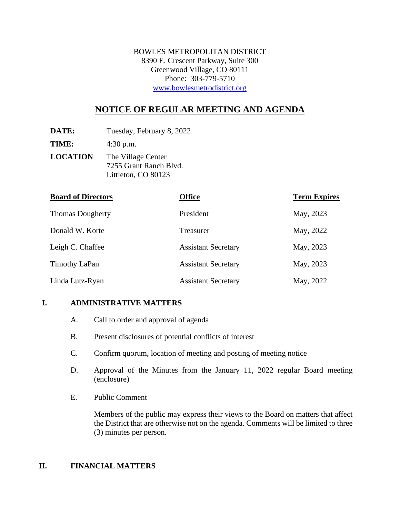BOWLES METROPOLITAN DISTRICT 8390 E. Crescent Parkway, Suite 300 Greenwood Village, CO 80111 Phone: 303-779-5710 [www.bowlesmetrodistrict.org](http://www.bowlesmetrodistrict.org/) 

# **NOTICE OF REGULAR MEETING AND AGENDA**

**DATE:** Tuesday, February 8, 2022

**TIME:** 4:30 p.m.

**LOCATION** The Village Center 7255 Grant Ranch Blvd. Littleton, CO 80123

| <b>Board of Directors</b> | <b>Office</b>              | <b>Term Expires</b> |
|---------------------------|----------------------------|---------------------|
| <b>Thomas Dougherty</b>   | President                  | May, 2023           |
| Donald W. Korte           | Treasurer                  | May, 2022           |
| Leigh C. Chaffee          | <b>Assistant Secretary</b> | May, 2023           |
| Timothy LaPan             | <b>Assistant Secretary</b> | May, 2023           |
| Linda Lutz-Ryan           | <b>Assistant Secretary</b> | May, 2022           |

### **I. ADMINISTRATIVE MATTERS**

- A. Call to order and approval of agenda
- B. Present disclosures of potential conflicts of interest
- C. Confirm quorum, location of meeting and posting of meeting notice
- D. Approval of the Minutes from the January 11, 2022 regular Board meeting (enclosure)
- E. Public Comment

Members of the public may express their views to the Board on matters that affect the District that are otherwise not on the agenda. Comments will be limited to three (3) minutes per person.

#### **II. FINANCIAL MATTERS**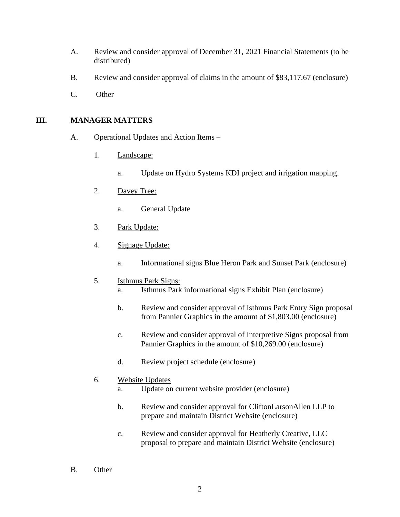- A. Review and consider approval of December 31, 2021 Financial Statements (to be distributed)
- B. Review and consider approval of claims in the amount of \$83,117.67 (enclosure)
- C. Other

### **III. MANAGER MATTERS**

- A. Operational Updates and Action Items
	- 1. Landscape:
		- a. Update on Hydro Systems KDI project and irrigation mapping.
	- 2. Davey Tree:
		- a. General Update
	- 3. Park Update:
	- 4. Signage Update:
		- a. Informational signs Blue Heron Park and Sunset Park (enclosure)

### 5. Isthmus Park Signs:

- a. Isthmus Park informational signs Exhibit Plan (enclosure)
- b. Review and consider approval of Isthmus Park Entry Sign proposal from Pannier Graphics in the amount of \$1,803.00 (enclosure)
- c. Review and consider approval of Interpretive Signs proposal from Pannier Graphics in the amount of \$10,269.00 (enclosure)
- d. Review project schedule (enclosure)

#### 6. Website Updates

- a. Update on current website provider (enclosure)
- b. Review and consider approval for CliftonLarsonAllen LLP to prepare and maintain District Website (enclosure)
- c. Review and consider approval for Heatherly Creative, LLC proposal to prepare and maintain District Website (enclosure)
- B. Other